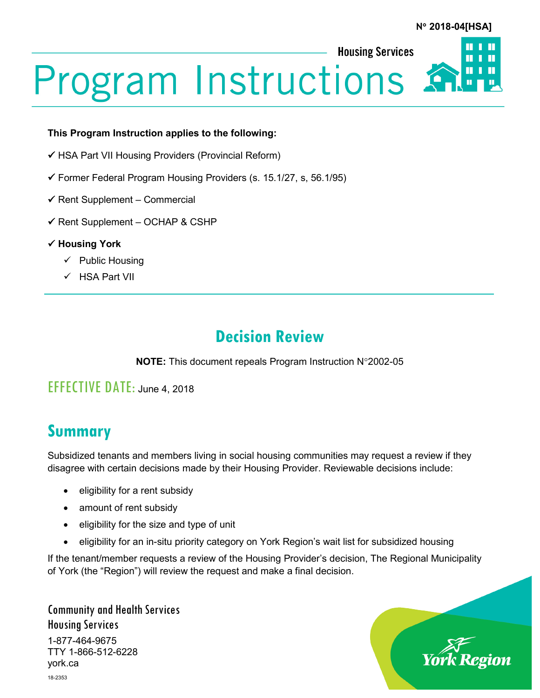**Housing Services** 



# **Program Instructions**

#### **This Program Instruction applies to the following:**

- $\checkmark$  HSA Part VII Housing Providers (Provincial Reform)
- $\checkmark$  Former Federal Program Housing Providers (s. 15.1/27, s, 56.1/95)
- $\checkmark$  Rent Supplement Commercial
- $\checkmark$  Rent Supplement OCHAP & CSHP
- **Housing York**
	- $\checkmark$  Public Housing
	- $V$  HSA Part VII

## **Decision Review**

**NOTE:** This document repeals Program Instruction N°2002-05

### EFFECTIVE DATE: June 4, 2018

# **Summary**

Subsidized tenants and members living in social housing communities may request a review if they disagree with certain decisions made by their Housing Provider. Reviewable decisions include:

- eligibility for a rent subsidy
- amount of rent subsidy
- eligibility for the size and type of unit
- eligibility for an in-situ priority category on York Region's wait list for subsidized housing

If the tenant/member requests a review of the Housing Provider's decision, The Regional Municipality of York (the "Region") will review the request and make a final decision.

Community and Health Services Housing Services 1-877-464-9675 TTY 1-866-512-6228 york.ca 18-2353

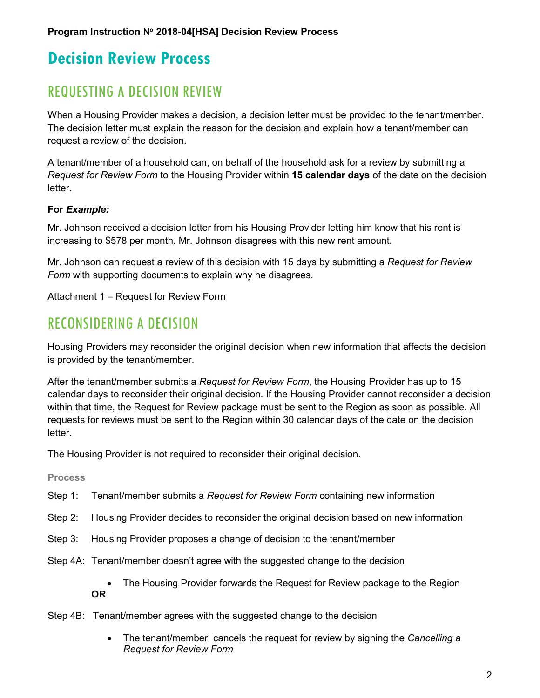# **Decision Review Process**

## REQUESTING A DECISION REVIEW

When a Housing Provider makes a decision, a decision letter must be provided to the tenant/member. The decision letter must explain the reason for the decision and explain how a tenant/member can request a review of the decision.

A tenant/member of a household can, on behalf of the household ask for a review by submitting a *Request for Review Form* to the Housing Provider within **15 calendar days** of the date on the decision letter.

#### **For** *Example:*

Mr. Johnson received a decision letter from his Housing Provider letting him know that his rent is increasing to \$578 per month. Mr. Johnson disagrees with this new rent amount.

Mr. Johnson can request a review of this decision with 15 days by submitting a *Request for Review Form* with supporting documents to explain why he disagrees.

Attachment 1 – Request for Review Form

## RECONSIDERING A DECISION

Housing Providers may reconsider the original decision when new information that affects the decision is provided by the tenant/member.

After the tenant/member submits a *Request for Review Form*, the Housing Provider has up to 15 calendar days to reconsider their original decision. If the Housing Provider cannot reconsider a decision within that time, the Request for Review package must be sent to the Region as soon as possible. All requests for reviews must be sent to the Region within 30 calendar days of the date on the decision letter.

The Housing Provider is not required to reconsider their original decision.

#### **Process**

- Step 1: Tenant/member submits a *Request for Review Form* containing new information
- Step 2: Housing Provider decides to reconsider the original decision based on new information
- Step 3: Housing Provider proposes a change of decision to the tenant/member
- Step 4A: Tenant/member doesn't agree with the suggested change to the decision
	- The Housing Provider forwards the Request for Review package to the Region **OR**
- Step 4B: Tenant/member agrees with the suggested change to the decision
	- The tenant/member cancels the request for review by signing the *Cancelling a Request for Review Form*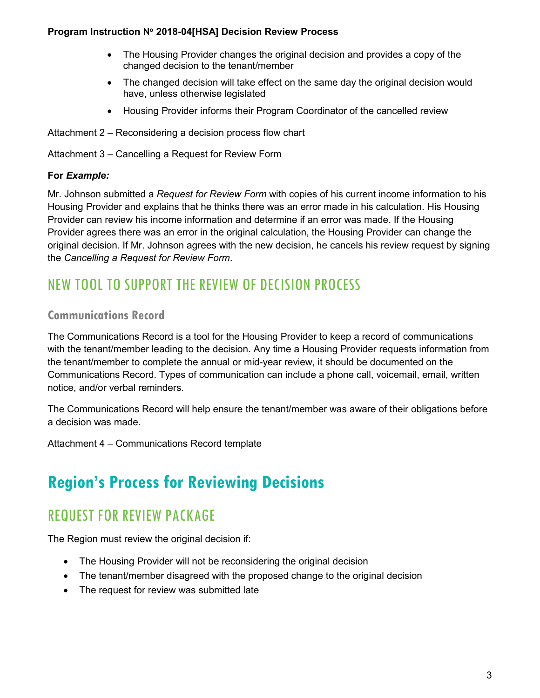#### **Program Instruction N**° **2018-04[HSA] Decision Review Process**

- The Housing Provider changes the original decision and provides a copy of the changed decision to the tenant/member
- The changed decision will take effect on the same day the original decision would have, unless otherwise legislated
- Housing Provider informs their Program Coordinator of the cancelled review
- Attachment 2 Reconsidering a decision process flow chart
- Attachment 3 Cancelling a Request for Review Form

#### **For** *Example:*

Mr. Johnson submitted a *Request for Review Form* with copies of his current income information to his Housing Provider and explains that he thinks there was an error made in his calculation. His Housing Provider can review his income information and determine if an error was made. If the Housing Provider agrees there was an error in the original calculation, the Housing Provider can change the original decision. If Mr. Johnson agrees with the new decision, he cancels his review request by signing the *Cancelling a Request for Review Form*.

## NEW TOOL TO SUPPORT THE REVIEW OF DECISION PROCESS

#### **Communications Record**

The Communications Record is a tool for the Housing Provider to keep a record of communications with the tenant/member leading to the decision. Any time a Housing Provider requests information from the tenant/member to complete the annual or mid-year review, it should be documented on the Communications Record. Types of communication can include a phone call, voicemail, email, written notice, and/or verbal reminders.

The Communications Record will help ensure the tenant/member was aware of their obligations before a decision was made.

Attachment 4 – Communications Record template

# **Region's Process for Reviewing Decisions**

## REQUEST FOR REVIEW PACKAGE

The Region must review the original decision if:

- The Housing Provider will not be reconsidering the original decision
- The tenant/member disagreed with the proposed change to the original decision
- The request for review was submitted late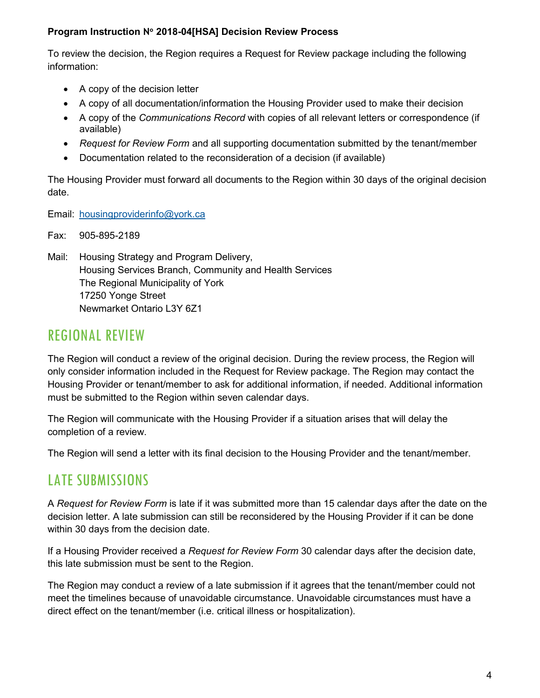#### **Program Instruction N**° **2018-04[HSA] Decision Review Process**

To review the decision, the Region requires a Request for Review package including the following information:

- A copy of the decision letter
- A copy of all documentation/information the Housing Provider used to make their decision
- A copy of the *Communications Record* with copies of all relevant letters or correspondence (if available)
- *Request for Review Form* and all supporting documentation submitted by the tenant/member
- Documentation related to the reconsideration of a decision (if available)

The Housing Provider must forward all documents to the Region within 30 days of the original decision date.

Email: [housingproviderinfo@york.ca](mailto:housingproviderinfo@york.ca)

Fax: 905-895-2189

Mail: Housing Strategy and Program Delivery, Housing Services Branch, Community and Health Services The Regional Municipality of York 17250 Yonge Street Newmarket Ontario L3Y 6Z1

## REGIONAL REVIEW

The Region will conduct a review of the original decision. During the review process, the Region will only consider information included in the Request for Review package. The Region may contact the Housing Provider or tenant/member to ask for additional information, if needed. Additional information must be submitted to the Region within seven calendar days.

The Region will communicate with the Housing Provider if a situation arises that will delay the completion of a review.

The Region will send a letter with its final decision to the Housing Provider and the tenant/member.

## LATE SUBMISSIONS

A *Request for Review Form* is late if it was submitted more than 15 calendar days after the date on the decision letter. A late submission can still be reconsidered by the Housing Provider if it can be done within 30 days from the decision date.

If a Housing Provider received a *Request for Review Form* 30 calendar days after the decision date, this late submission must be sent to the Region.

The Region may conduct a review of a late submission if it agrees that the tenant/member could not meet the timelines because of unavoidable circumstance. Unavoidable circumstances must have a direct effect on the tenant/member (i.e. critical illness or hospitalization).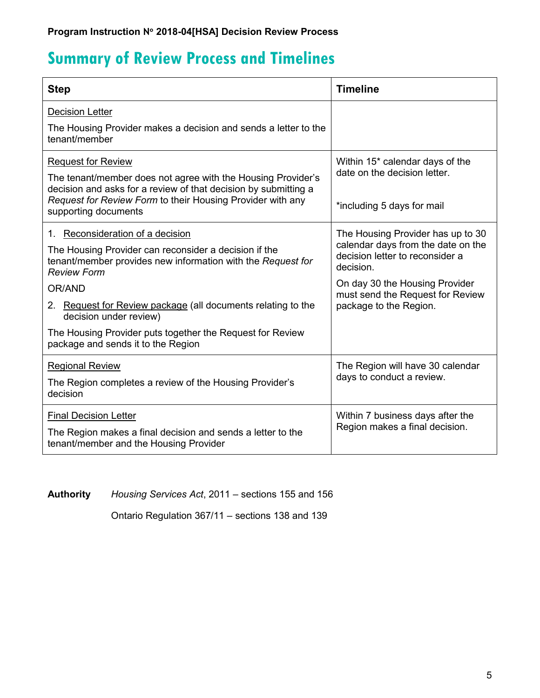# **Summary of Review Process and Timelines**

| <b>Step</b>                                                                                                                                | <b>Timeline</b>                                                                                                         |
|--------------------------------------------------------------------------------------------------------------------------------------------|-------------------------------------------------------------------------------------------------------------------------|
| <b>Decision Letter</b>                                                                                                                     |                                                                                                                         |
| The Housing Provider makes a decision and sends a letter to the<br>tenant/member                                                           |                                                                                                                         |
| <b>Request for Review</b>                                                                                                                  | Within 15* calendar days of the<br>date on the decision letter.<br>*including 5 days for mail                           |
| The tenant/member does not agree with the Housing Provider's<br>decision and asks for a review of that decision by submitting a            |                                                                                                                         |
| Request for Review Form to their Housing Provider with any<br>supporting documents                                                         |                                                                                                                         |
| 1. Reconsideration of a decision                                                                                                           | The Housing Provider has up to 30<br>calendar days from the date on the<br>decision letter to reconsider a<br>decision. |
| The Housing Provider can reconsider a decision if the<br>tenant/member provides new information with the Request for<br><b>Review Form</b> |                                                                                                                         |
| OR/AND                                                                                                                                     | On day 30 the Housing Provider<br>must send the Request for Review<br>package to the Region.                            |
| 2. Request for Review package (all documents relating to the<br>decision under review)                                                     |                                                                                                                         |
| The Housing Provider puts together the Request for Review<br>package and sends it to the Region                                            |                                                                                                                         |
| <b>Regional Review</b>                                                                                                                     | The Region will have 30 calendar<br>days to conduct a review.                                                           |
| The Region completes a review of the Housing Provider's<br>decision                                                                        |                                                                                                                         |
| <b>Final Decision Letter</b>                                                                                                               | Within 7 business days after the<br>Region makes a final decision.                                                      |
| The Region makes a final decision and sends a letter to the<br>tenant/member and the Housing Provider                                      |                                                                                                                         |

**Authority** *Housing Services Act*, 2011 – sections 155 and 156

Ontario Regulation 367/11 – sections 138 and 139